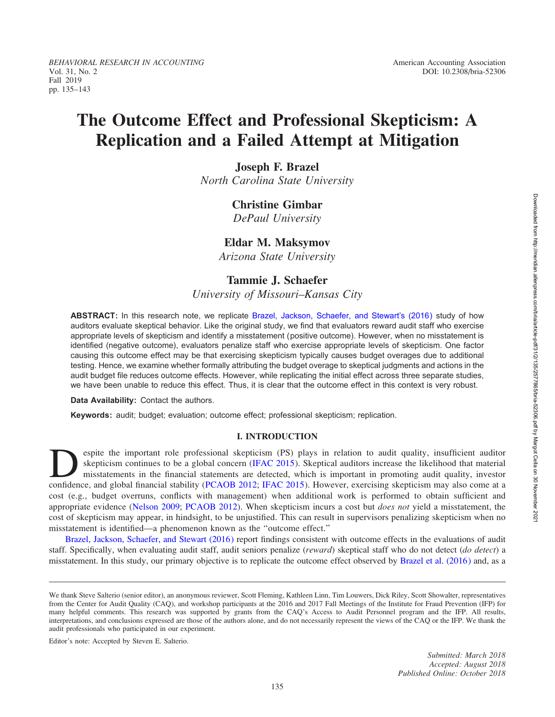BEHAVIORAL RESEARCH IN ACCOUNTING American Accounting Association Vol. 31, No. 2 DOI: 10.2308/bria-52306 Fall 2019 pp. 135–143

# The Outcome Effect and Professional Skepticism: A Replication and a Failed Attempt at Mitigation

Joseph F. Brazel

North Carolina State University

# Christine Gimbar

DePaul University

# Eldar M. Maksymov

Arizona State University

# Tammie J. Schaefer

University of Missouri–Kansas City

ABSTRACT: In this research note, we replicate Brazel, Jackson, Schaefer, and Stewart's (2016) study of how auditors evaluate skeptical behavior. Like the original study, we find that evaluators reward audit staff who exercise appropriate levels of skepticism and identify a misstatement (positive outcome). However, when no misstatement is identified (negative outcome), evaluators penalize staff who exercise appropriate levels of skepticism. One factor causing this outcome effect may be that exercising skepticism typically causes budget overages due to additional testing. Hence, we examine whether formally attributing the budget overage to skeptical judgments and actions in the audit budget file reduces outcome effects. However, while replicating the initial effect across three separate studies, we have been unable to reduce this effect. Thus, it is clear that the outcome effect in this context is very robust.

Data Availability: Contact the authors.

Keywords: audit; budget; evaluation; outcome effect; professional skepticism; replication.

# I. INTRODUCTION

espite the important role professional skepticism (PS) plays in relation to audit quality, insufficient auditor skepticism continues to be a global concern (IFAC 2015). Skeptical auditors increase the likelihood that material misstatements in the financial statements are detected, which is important in promoting audit quality, investor confidence, and global financial stability (PCAOB 2012; IFAC 2015). However, exercising skepticism may also come at a cost (e.g., budget overruns, conflicts with management) when additional work is performed to obtain sufficient and appropriate evidence (Nelson 2009; PCAOB 2012). When skepticism incurs a cost but *does not* yield a misstatement, the cost of skepticism may appear, in hindsight, to be unjustified. This can result in supervisors penalizing skepticism when no misstatement is identified—a phenomenon known as the ''outcome effect.''

Brazel, Jackson, Schaefer, and Stewart (2016) report findings consistent with outcome effects in the evaluations of audit staff. Specifically, when evaluating audit staff, audit seniors penalize (reward) skeptical staff who do not detect (do detect) a misstatement. In this study, our primary objective is to replicate the outcome effect observed by Brazel et al. (2016) and, as a

Editor's note: Accepted by Steven E. Salterio.

We thank Steve Salterio (senior editor), an anonymous reviewer, Scott Fleming, Kathleen Linn, Tim Louwers, Dick Riley, Scott Showalter, representatives from the Center for Audit Quality (CAQ), and workshop participants at the 2016 and 2017 Fall Meetings of the Institute for Fraud Prevention (IFP) for many helpful comments. This research was supported by grants from the CAQ's Access to Audit Personnel program and the IFP. All results, interpretations, and conclusions expressed are those of the authors alone, and do not necessarily represent the views of the CAQ or the IFP. We thank the audit professionals who participated in our experiment.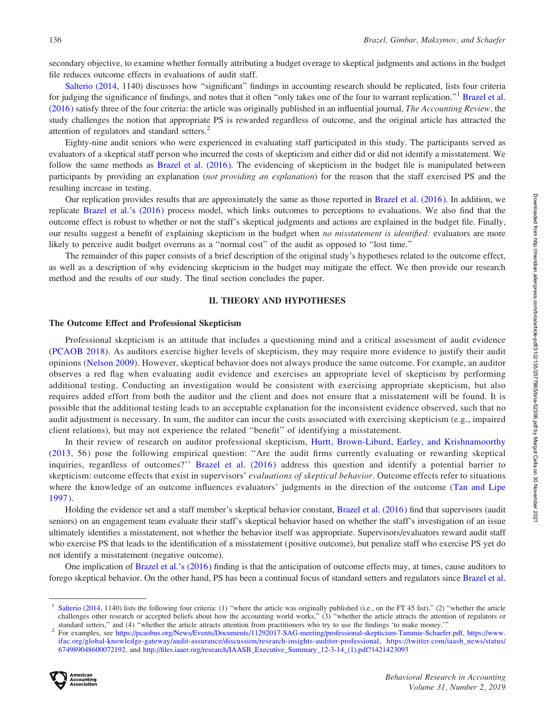secondary objective, to examine whether formally attributing a budget overage to skeptical judgments and actions in the budget file reduces outcome effects in evaluations of audit staff.

Salterio (2014, 1140) discusses how ''significant'' findings in accounting research should be replicated, lists four criteria for judging the significance of findings, and notes that it often ''only takes one of the four to warrant replication.''<sup>1</sup> Brazel et al. (2016) satisfy three of the four criteria: the article was originally published in an influential journal, The Accounting Review, the study challenges the notion that appropriate PS is rewarded regardless of outcome, and the original article has attracted the attention of regulators and standard setters. $\frac{2}{3}$ 

Eighty-nine audit seniors who were experienced in evaluating staff participated in this study. The participants served as evaluators of a skeptical staff person who incurred the costs of skepticism and either did or did not identify a misstatement. We follow the same methods as Brazel et al. (2016). The evidencing of skepticism in the budget file is manipulated between participants by providing an explanation (not providing an explanation) for the reason that the staff exercised PS and the resulting increase in testing.

Our replication provides results that are approximately the same as those reported in Brazel et al. (2016). In addition, we replicate Brazel et al.'s (2016) process model, which links outcomes to perceptions to evaluations. We also find that the outcome effect is robust to whether or not the staff's skeptical judgments and actions are explained in the budget file. Finally, our results suggest a benefit of explaining skepticism in the budget when no misstatement is identified: evaluators are more likely to perceive audit budget overruns as a ''normal cost'' of the audit as opposed to ''lost time.''

The remainder of this paper consists of a brief description of the original study's hypotheses related to the outcome effect, as well as a description of why evidencing skepticism in the budget may mitigate the effect. We then provide our research method and the results of our study. The final section concludes the paper.

#### II. THEORY AND HYPOTHESES

#### The Outcome Effect and Professional Skepticism

Professional skepticism is an attitude that includes a questioning mind and a critical assessment of audit evidence (PCAOB 2018). As auditors exercise higher levels of skepticism, they may require more evidence to justify their audit opinions (Nelson 2009). However, skeptical behavior does not always produce the same outcome. For example, an auditor observes a red flag when evaluating audit evidence and exercises an appropriate level of skepticism by performing additional testing. Conducting an investigation would be consistent with exercising appropriate skepticism, but also requires added effort from both the auditor and the client and does not ensure that a misstatement will be found. It is possible that the additional testing leads to an acceptable explanation for the inconsistent evidence observed, such that no audit adjustment is necessary. In sum, the auditor can incur the costs associated with exercising skepticism (e.g., impaired client relations), but may not experience the related ''benefit'' of identifying a misstatement.

In their review of research on auditor professional skepticism, Hurtt, Brown-Liburd, Earley, and Krishnamoorthy (2013, 56) pose the following empirical question: ''Are the audit firms currently evaluating or rewarding skeptical inquiries, regardless of outcomes?'' Brazel et al. (2016) address this question and identify a potential barrier to skepticism: outcome effects that exist in supervisors' evaluations of skeptical behavior. Outcome effects refer to situations where the knowledge of an outcome influences evaluators' judgments in the direction of the outcome (Tan and Lipe 1997).

Holding the evidence set and a staff member's skeptical behavior constant, Brazel et al. (2016) find that supervisors (audit seniors) on an engagement team evaluate their staff's skeptical behavior based on whether the staff's investigation of an issue ultimately identifies a misstatement, not whether the behavior itself was appropriate. Supervisors/evaluators reward audit staff who exercise PS that leads to the identification of a misstatement (positive outcome), but penalize staff who exercise PS yet do not identify a misstatement (negative outcome).

One implication of Brazel et al.'s (2016) finding is that the anticipation of outcome effects may, at times, cause auditors to forego skeptical behavior. On the other hand, PS has been a continual focus of standard setters and regulators since Brazel et al.

standard setters," and (4) "whether the article attracts attention from practitioners who try to use the findings 'to make money."<br><sup>2</sup> For examples, see https://pcaobus.org/News/Events/Documents/11292017-SAG-meeting/profes ifac.org/global-knowledge-gateway/audit-assurance/discussion/research-insights-auditor-professional, https://twitter.com/iaasb\_news/status/ 674989048600072192, and http://files.iaaer.org/research/IAASB\_Executive\_Summary\_12-3-14\_(1).pdf?1421423093



Salterio (2014, 1140) lists the following four criteria: (1) "where the article was originally published (i.e., on the FT 45 list)," (2) "whether the article challenges other research or accepted beliefs about how the accounting world works,'' (3) ''whether the article attracts the attention of regulators or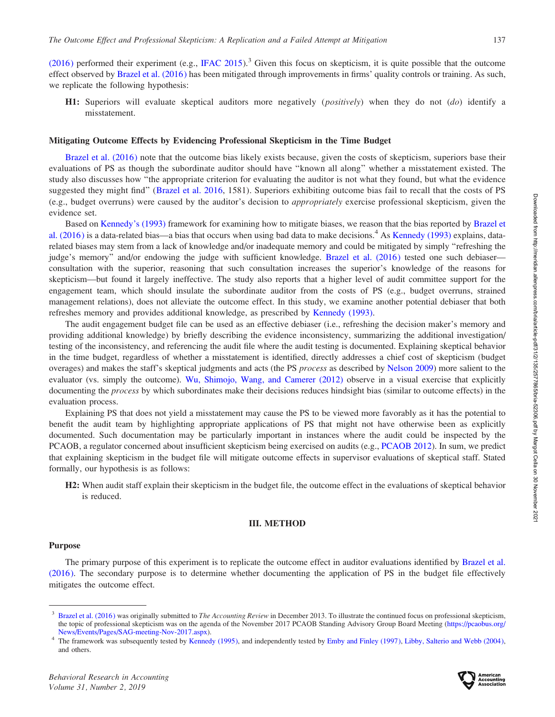$(2016)$  performed their experiment (e.g., IFAC 2015).<sup>3</sup> Given this focus on skepticism, it is quite possible that the outcome effect observed by Brazel et al. (2016) has been mitigated through improvements in firms' quality controls or training. As such, we replicate the following hypothesis:

H1: Superiors will evaluate skeptical auditors more negatively (positively) when they do not (do) identify a misstatement.

#### Mitigating Outcome Effects by Evidencing Professional Skepticism in the Time Budget

Brazel et al. (2016) note that the outcome bias likely exists because, given the costs of skepticism, superiors base their evaluations of PS as though the subordinate auditor should have ''known all along'' whether a misstatement existed. The study also discusses how ''the appropriate criterion for evaluating the auditor is not what they found, but what the evidence suggested they might find'' (Brazel et al. 2016, 1581). Superiors exhibiting outcome bias fail to recall that the costs of PS (e.g., budget overruns) were caused by the auditor's decision to appropriately exercise professional skepticism, given the evidence set.

Based on Kennedy's (1993) framework for examining how to mitigate biases, we reason that the bias reported by Brazel et al. (2016) is a data-related bias—a bias that occurs when using bad data to make decisions.<sup>4</sup> As Kennedy (1993) explains, datarelated biases may stem from a lack of knowledge and/or inadequate memory and could be mitigated by simply ''refreshing the judge's memory" and/or endowing the judge with sufficient knowledge. Brazel et al. (2016) tested one such debiaserconsultation with the superior, reasoning that such consultation increases the superior's knowledge of the reasons for skepticism—but found it largely ineffective. The study also reports that a higher level of audit committee support for the engagement team, which should insulate the subordinate auditor from the costs of PS (e.g., budget overruns, strained management relations), does not alleviate the outcome effect. In this study, we examine another potential debiaser that both refreshes memory and provides additional knowledge, as prescribed by Kennedy (1993).

The audit engagement budget file can be used as an effective debiaser (i.e., refreshing the decision maker's memory and providing additional knowledge) by briefly describing the evidence inconsistency, summarizing the additional investigation/ testing of the inconsistency, and referencing the audit file where the audit testing is documented. Explaining skeptical behavior in the time budget, regardless of whether a misstatement is identified, directly addresses a chief cost of skepticism (budget overages) and makes the staff's skeptical judgments and acts (the PS process as described by Nelson 2009) more salient to the evaluator (vs. simply the outcome). Wu, Shimojo, Wang, and Camerer (2012) observe in a visual exercise that explicitly documenting the process by which subordinates make their decisions reduces hindsight bias (similar to outcome effects) in the evaluation process.

Explaining PS that does not yield a misstatement may cause the PS to be viewed more favorably as it has the potential to benefit the audit team by highlighting appropriate applications of PS that might not have otherwise been as explicitly documented. Such documentation may be particularly important in instances where the audit could be inspected by the PCAOB, a regulator concerned about insufficient skepticism being exercised on audits (e.g., PCAOB 2012). In sum, we predict that explaining skepticism in the budget file will mitigate outcome effects in supervisor evaluations of skeptical staff. Stated formally, our hypothesis is as follows:

H2: When audit staff explain their skepticism in the budget file, the outcome effect in the evaluations of skeptical behavior is reduced.

#### III. METHOD

#### Purpose

The primary purpose of this experiment is to replicate the outcome effect in auditor evaluations identified by Brazel et al. (2016). The secondary purpose is to determine whether documenting the application of PS in the budget file effectively mitigates the outcome effect.



 $3$  Brazel et al. (2016) was originally submitted to *The Accounting Review* in December 2013. To illustrate the continued focus on professional skepticism, the topic of professional skepticism was on the agenda of the November 2017 PCAOB Standing Advisory Group Board Meeting (https://pcaobus.org/

News/Events/Pages/SAG-meeting-Nov-2017.aspx).<br><sup>4</sup> The framework was subsequently tested by Kennedy (1995), and independently tested by Emby and Finley (1997), Libby, Salterio and Webb (2004), and others.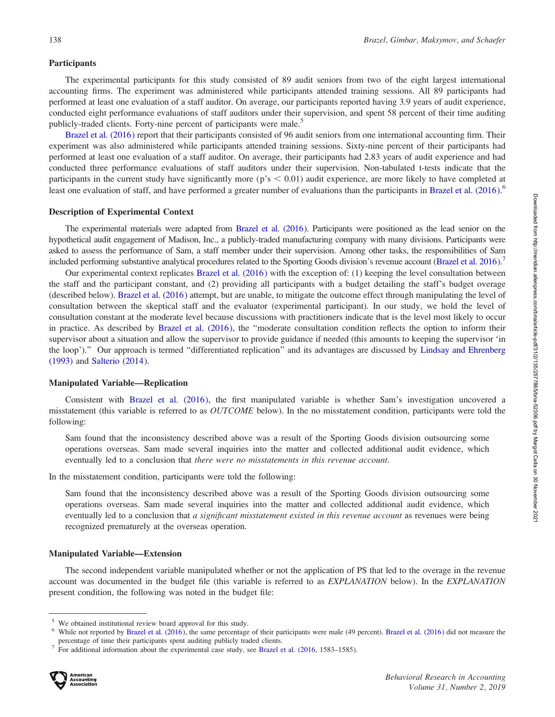#### Participants

The experimental participants for this study consisted of 89 audit seniors from two of the eight largest international accounting firms. The experiment was administered while participants attended training sessions. All 89 participants had performed at least one evaluation of a staff auditor. On average, our participants reported having 3.9 years of audit experience, conducted eight performance evaluations of staff auditors under their supervision, and spent 58 percent of their time auditing publicly-traded clients. Forty-nine percent of participants were male.<sup>5</sup>

Brazel et al. (2016) report that their participants consisted of 96 audit seniors from one international accounting firm. Their experiment was also administered while participants attended training sessions. Sixty-nine percent of their participants had performed at least one evaluation of a staff auditor. On average, their participants had 2.83 years of audit experience and had conducted three performance evaluations of staff auditors under their supervision. Non-tabulated t-tests indicate that the participants in the current study have significantly more ( $p's < 0.01$ ) audit experience, are more likely to have completed at least one evaluation of staff, and have performed a greater number of evaluations than the participants in Brazel et al. (2016).<sup>6</sup>

#### Description of Experimental Context

The experimental materials were adapted from Brazel et al. (2016). Participants were positioned as the lead senior on the hypothetical audit engagement of Madison, Inc., a publicly-traded manufacturing company with many divisions. Participants were asked to assess the performance of Sam, a staff member under their supervision. Among other tasks, the responsibilities of Sam included performing substantive analytical procedures related to the Sporting Goods division's revenue account (Brazel et al. 2016).

Our experimental context replicates Brazel et al. (2016) with the exception of: (1) keeping the level consultation between the staff and the participant constant, and (2) providing all participants with a budget detailing the staff's budget overage (described below). Brazel et al. (2016) attempt, but are unable, to mitigate the outcome effect through manipulating the level of consultation between the skeptical staff and the evaluator (experimental participant). In our study, we hold the level of consultation constant at the moderate level because discussions with practitioners indicate that is the level most likely to occur in practice. As described by Brazel et al. (2016), the ''moderate consultation condition reflects the option to inform their supervisor about a situation and allow the supervisor to provide guidance if needed (this amounts to keeping the supervisor 'in the loop').'' Our approach is termed ''differentiated replication'' and its advantages are discussed by Lindsay and Ehrenberg (1993) and Salterio (2014).

#### Manipulated Variable—Replication

Consistent with Brazel et al. (2016), the first manipulated variable is whether Sam's investigation uncovered a misstatement (this variable is referred to as *OUTCOME* below). In the no misstatement condition, participants were told the following:

Sam found that the inconsistency described above was a result of the Sporting Goods division outsourcing some operations overseas. Sam made several inquiries into the matter and collected additional audit evidence, which eventually led to a conclusion that there were no misstatements in this revenue account.

In the misstatement condition, participants were told the following:

Sam found that the inconsistency described above was a result of the Sporting Goods division outsourcing some operations overseas. Sam made several inquiries into the matter and collected additional audit evidence, which eventually led to a conclusion that *a significant misstatement existed in this revenue account* as revenues were being recognized prematurely at the overseas operation.

#### Manipulated Variable—Extension

The second independent variable manipulated whether or not the application of PS that led to the overage in the revenue account was documented in the budget file (this variable is referred to as EXPLANATION below). In the EXPLANATION present condition, the following was noted in the budget file:

<sup>5</sup> We obtained institutional review board approval for this study.<br><sup>6</sup> While not reported by Brazel et al. (2016), the same percentage of their participants were male (49 percent). Brazel et al. (2016) did not measure th

 $p^7$  For additional information about the experimental case study, see Brazel et al. (2016, 1583–1585).

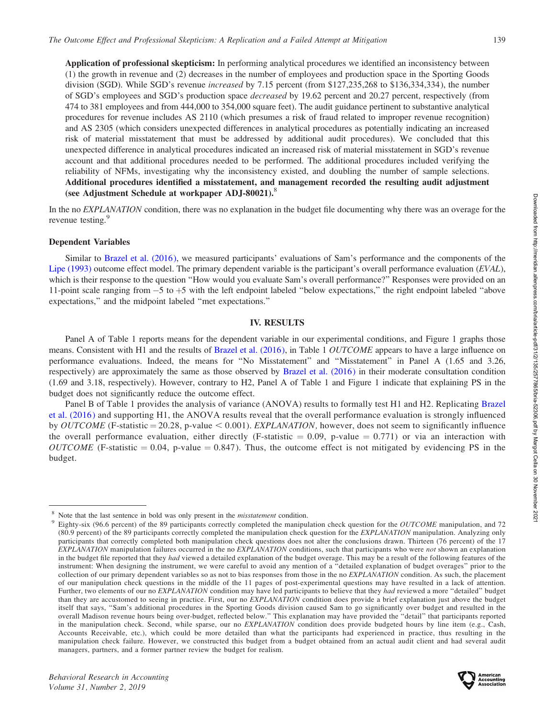Application of professional skepticism: In performing analytical procedures we identified an inconsistency between (1) the growth in revenue and (2) decreases in the number of employees and production space in the Sporting Goods division (SGD). While SGD's revenue *increased* by 7.15 percent (from \$127,235,268 to \$136,334,334), the number of SGD's employees and SGD's production space decreased by 19.62 percent and 20.27 percent, respectively (from 474 to 381 employees and from 444,000 to 354,000 square feet). The audit guidance pertinent to substantive analytical procedures for revenue includes AS 2110 (which presumes a risk of fraud related to improper revenue recognition) and AS 2305 (which considers unexpected differences in analytical procedures as potentially indicating an increased risk of material misstatement that must be addressed by additional audit procedures). We concluded that this unexpected difference in analytical procedures indicated an increased risk of material misstatement in SGD's revenue account and that additional procedures needed to be performed. The additional procedures included verifying the reliability of NFMs, investigating why the inconsistency existed, and doubling the number of sample selections. Additional procedures identified a misstatement, and management recorded the resulting audit adjustment (see Adjustment Schedule at workpaper ADJ-80021).<sup>8</sup>

In the no *EXPLANATION* condition, there was no explanation in the budget file documenting why there was an overage for the revenue testing.<sup>9</sup>

#### Dependent Variables

Similar to Brazel et al. (2016), we measured participants' evaluations of Sam's performance and the components of the Lipe (1993) outcome effect model. The primary dependent variable is the participant's overall performance evaluation (EVAL), which is their response to the question "How would you evaluate Sam's overall performance?" Responses were provided on an 11-point scale ranging from  $-5$  to  $+5$  with the left endpoint labeled "below expectations," the right endpoint labeled "above expectations,'' and the midpoint labeled ''met expectations.''

#### IV. RESULTS

Panel A of Table 1 reports means for the dependent variable in our experimental conditions, and Figure 1 graphs those means. Consistent with H1 and the results of Brazel et al. (2016), in Table 1 *OUTCOME* appears to have a large influence on performance evaluations. Indeed, the means for ''No Misstatement'' and ''Misstatement'' in Panel A (1.65 and 3.26, respectively) are approximately the same as those observed by Brazel et al. (2016) in their moderate consultation condition (1.69 and 3.18, respectively). However, contrary to H2, Panel A of Table 1 and Figure 1 indicate that explaining PS in the budget does not significantly reduce the outcome effect.

Panel B of Table 1 provides the analysis of variance (ANOVA) results to formally test H1 and H2. Replicating Brazel et al. (2016) and supporting H1, the ANOVA results reveal that the overall performance evaluation is strongly influenced by OUTCOME (F-statistic = 20.28, p-value  $< 0.001$ ). *EXPLANATION*, however, does not seem to significantly influence the overall performance evaluation, either directly (F-statistic  $= 0.09$ , p-value  $= 0.771$ ) or via an interaction with OUTCOME (F-statistic  $= 0.04$ , p-value  $= 0.847$ ). Thus, the outcome effect is not mitigated by evidencing PS in the budget.



 $\degree$  Note that the last sentence in bold was only present in the *misstatement* condition.<br><sup>9</sup> Eighty-six (96.6 percent) of the 89 participants correctly completed the manipulation check question for the *OUTCOME* manipul (80.9 percent) of the 89 participants correctly completed the manipulation check question for the *EXPLANATION* manipulation. Analyzing only participants that correctly completed both manipulation check questions does not alter the conclusions drawn. Thirteen (76 percent) of the 17 EXPLANATION manipulation failures occurred in the no EXPLANATION conditions, such that participants who were not shown an explanation in the budget file reported that they had viewed a detailed explanation of the budget overage. This may be a result of the following features of the instrument: When designing the instrument, we were careful to avoid any mention of a ''detailed explanation of budget overages'' prior to the collection of our primary dependent variables so as not to bias responses from those in the no EXPLANATION condition. As such, the placement of our manipulation check questions in the middle of the 11 pages of post-experimental questions may have resulted in a lack of attention. Further, two elements of our no EXPLANATION condition may have led participants to believe that they had reviewed a more "detailed" budget than they are accustomed to seeing in practice. First, our no EXPLANATION condition does provide a brief explanation just above the budget itself that says, ''Sam's additional procedures in the Sporting Goods division caused Sam to go significantly over budget and resulted in the overall Madison revenue hours being over-budget, reflected below.'' This explanation may have provided the ''detail'' that participants reported in the manipulation check. Second, while sparse, our no EXPLANATION condition does provide budgeted hours by line item (e.g., Cash, Accounts Receivable, etc.), which could be more detailed than what the participants had experienced in practice, thus resulting in the manipulation check failure. However, we constructed this budget from a budget obtained from an actual audit client and had several audit managers, partners, and a former partner review the budget for realism.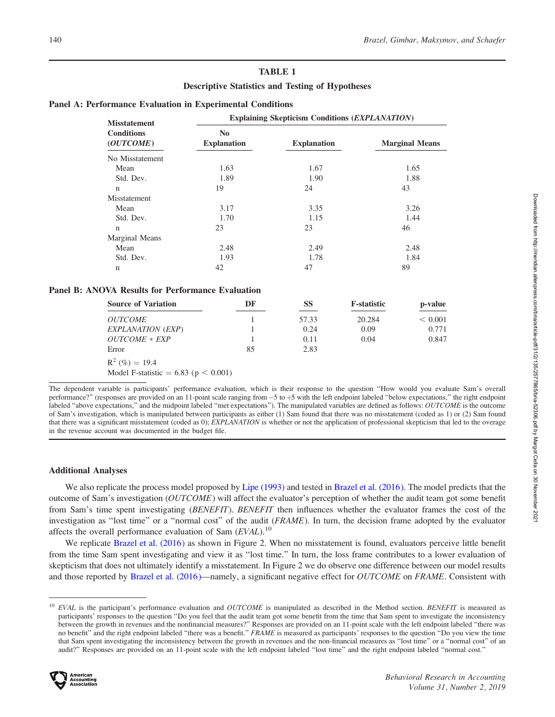# TABLE 1

## Descriptive Statistics and Testing of Hypotheses

## Panel A: Performance Evaluation in Experimental Conditions

| <b>Misstatement</b>            | <b>Explaining Skepticism Conditions (EXPLANATION)</b>      |      |                       |  |
|--------------------------------|------------------------------------------------------------|------|-----------------------|--|
| <b>Conditions</b><br>(OUTCOME) | N <sub>0</sub><br><b>Explanation</b><br><b>Explanation</b> |      | <b>Marginal Means</b> |  |
| No Misstatement                |                                                            |      |                       |  |
| Mean                           | 1.63                                                       | 1.67 | 1.65                  |  |
| Std. Dev.                      | 1.89                                                       | 1.90 | 1.88                  |  |
| $\mathbf n$                    | 19                                                         | 24   | 43                    |  |
| Misstatement                   |                                                            |      |                       |  |
| Mean                           | 3.17                                                       | 3.35 | 3.26                  |  |
| Std. Dev.                      | 1.70                                                       | 1.15 | 1.44                  |  |
| $\mathbf n$                    | 23                                                         | 23   | 46                    |  |
| Marginal Means                 |                                                            |      |                       |  |
| Mean                           | 2.48                                                       | 2.49 | 2.48                  |  |
| Std. Dev.                      | 1.93                                                       | 1.78 | 1.84                  |  |
| $\mathbf n$                    | 42                                                         | 47   | 89                    |  |

| <b>Source of Variation</b>                 | DF | SS    | <b>F</b> -statistic | p-value |
|--------------------------------------------|----|-------|---------------------|---------|
| <i><b>OUTCOME</b></i>                      |    | 57.33 | 20.284              | < 0.001 |
| EXPLANATION (EXP)                          |    | 0.24  | 0.09                | 0.771   |
| $OUTCOME * EXP$                            |    | 0.11  | 0.04                | 0.847   |
| Error                                      | 85 | 2.83  |                     |         |
| $R^2$ (%) = 19.4                           |    |       |                     |         |
| Model F-statistic = $6.83$ ( $p < 0.001$ ) |    |       |                     |         |

The dependent variable is participants' performance evaluation, which is their response to the question ''How would you evaluate Sam's overall performance?" (responses are provided on an 11-point scale ranging from -5 to +5 with the left endpoint labeled "below expectations," the right endpoint labeled "above expectations," and the midpoint labeled "met expectations"). The manipulated variables are defined as follows: OUTCOME is the outcome of Sam's investigation, which is manipulated between participants as either (1) Sam found that there was no misstatement (coded as 1) or (2) Sam found that there was a significant misstatement (coded as 0); EXPLANATION is whether or not the application of professional skepticism that led to the overage in the revenue account was documented in the budget file.

# Additional Analyses

We also replicate the process model proposed by Lipe (1993) and tested in Brazel et al. (2016). The model predicts that the outcome of Sam's investigation (OUTCOME) will affect the evaluator's perception of whether the audit team got some benefit from Sam's time spent investigating (BENEFIT). BENEFIT then influences whether the evaluator frames the cost of the investigation as "lost time" or a "normal cost" of the audit (FRAME). In turn, the decision frame adopted by the evaluator affects the overall performance evaluation of Sam  $(EVAL)$ .<sup>10</sup>

We replicate Brazel et al. (2016) as shown in Figure 2. When no misstatement is found, evaluators perceive little benefit from the time Sam spent investigating and view it as ''lost time.'' In turn, the loss frame contributes to a lower evaluation of skepticism that does not ultimately identify a misstatement. In Figure 2 we do observe one difference between our model results and those reported by Brazel et al. (2016)—namely, a significant negative effect for OUTCOME on FRAME. Consistent with

 $10$  EVAL is the participant's performance evaluation and OUTCOME is manipulated as described in the Method section. BENEFIT is measured as participants' responses to the question ''Do you feel that the audit team got some benefit from the time that Sam spent to investigate the inconsistency between the growth in revenues and the nonfinancial measures?'' Responses are provided on an 11-point scale with the left endpoint labeled ''there was no benefit" and the right endpoint labeled "there was a benefit." FRAME is measured as participants' responses to the question "Do you view the time that Sam spent investigating the inconsistency between the growth in revenues and the non-financial measures as ''lost time'' or a ''normal cost'' of an audit?'' Responses are provided on an 11-point scale with the left endpoint labeled ''lost time'' and the right endpoint labeled ''normal cost.''

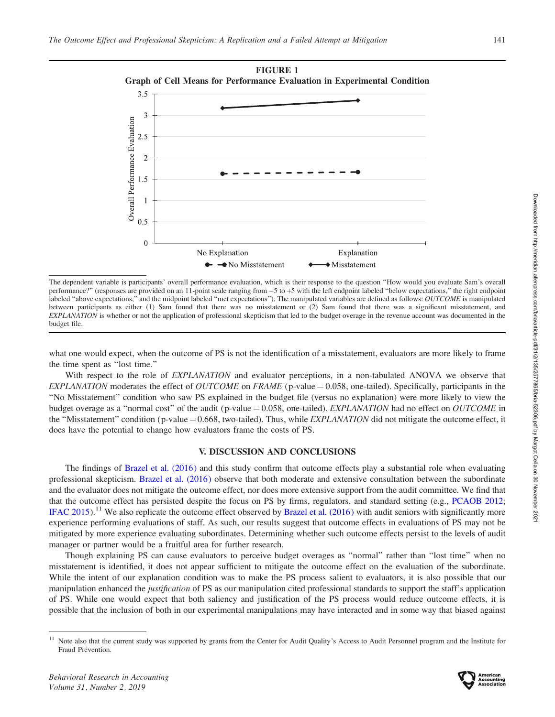

The dependent variable is participants' overall performance evaluation, which is their response to the question ''How would you evaluate Sam's overall performance?" (responses are provided on an 11-point scale ranging from -5 to +5 with the left endpoint labeled "below expectations," the right endpoint labeled "above expectations," and the midpoint labeled "met expectations"). The manipulated variables are defined as follows: OUTCOME is manipulated between participants as either (1) Sam found that there was no misstatement or (2) Sam found that there was a significant misstatement, and EXPLANATION is whether or not the application of professional skepticism that led to the budget overage in the revenue account was documented in the budget file.

what one would expect, when the outcome of PS is not the identification of a misstatement, evaluators are more likely to frame the time spent as ''lost time.''

With respect to the role of *EXPLANATION* and evaluator perceptions, in a non-tabulated ANOVA we observe that EXPLANATION moderates the effect of OUTCOME on FRAME (p-value  $= 0.058$ , one-tailed). Specifically, participants in the ''No Misstatement'' condition who saw PS explained in the budget file (versus no explanation) were more likely to view the budget overage as a "normal cost" of the audit (p-value  $= 0.058$ , one-tailed). *EXPLANATION* had no effect on *OUTCOME* in the "Misstatement" condition (p-value = 0.668, two-tailed). Thus, while *EXPLANATION* did not mitigate the outcome effect, it does have the potential to change how evaluators frame the costs of PS.

#### V. DISCUSSION AND CONCLUSIONS

The findings of Brazel et al. (2016) and this study confirm that outcome effects play a substantial role when evaluating professional skepticism. Brazel et al. (2016) observe that both moderate and extensive consultation between the subordinate and the evaluator does not mitigate the outcome effect, nor does more extensive support from the audit committee. We find that that the outcome effect has persisted despite the focus on PS by firms, regulators, and standard setting (e.g., PCAOB 2012; IFAC 2015).<sup>11</sup> We also replicate the outcome effect observed by Brazel et al. (2016) with audit seniors with significantly more experience performing evaluations of staff. As such, our results suggest that outcome effects in evaluations of PS may not be mitigated by more experience evaluating subordinates. Determining whether such outcome effects persist to the levels of audit manager or partner would be a fruitful area for further research.

Though explaining PS can cause evaluators to perceive budget overages as ''normal'' rather than ''lost time'' when no misstatement is identified, it does not appear sufficient to mitigate the outcome effect on the evaluation of the subordinate. While the intent of our explanation condition was to make the PS process salient to evaluators, it is also possible that our manipulation enhanced the *justification* of PS as our manipulation cited professional standards to support the staff's application of PS. While one would expect that both saliency and justification of the PS process would reduce outcome effects, it is possible that the inclusion of both in our experimental manipulations may have interacted and in some way that biased against



<sup>&</sup>lt;sup>11</sup> Note also that the current study was supported by grants from the Center for Audit Quality's Access to Audit Personnel program and the Institute for Fraud Prevention.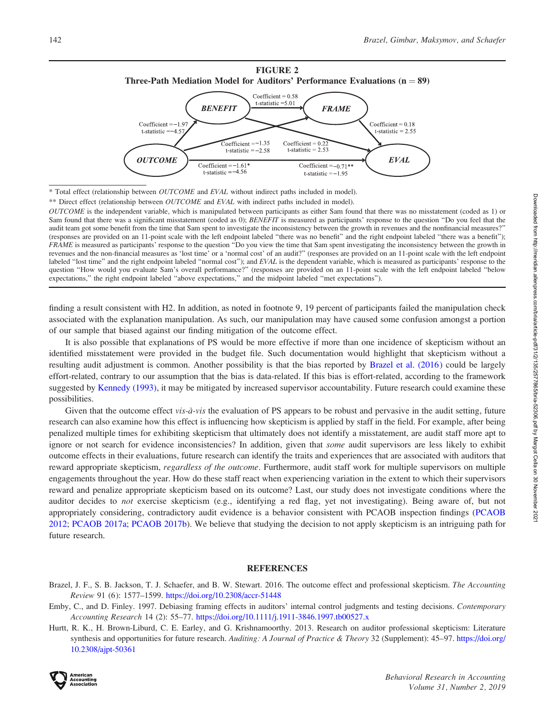**EVAL** 



Coefficient =  $-0.71**$ 

 $t$ -statistic =  $-1.95$ 

\* Total effect (relationship between OUTCOME and EVAL without indirect paths included in model).

Coefficient  $=-1.61$ 

 $t-statistic = -4.56$ 

**OUTCOME** 

expectations,'' the right endpoint labeled ''above expectations,'' and the midpoint labeled ''met expectations'').

\*\* Direct effect (relationship between OUTCOME and EVAL with indirect paths included in model). OUTCOME is the independent variable, which is manipulated between participants as either Sam found that there was no misstatement (coded as 1) or Sam found that there was a significant misstatement (coded as 0); BENEFIT is measured as participants' response to the question "Do you feel that the audit team got some benefit from the time that Sam spent to investigate the inconsistency between the growth in revenues and the nonfinancial measures?'' (responses are provided on an 11-point scale with the left endpoint labeled ''there was no benefit'' and the right endpoint labeled ''there was a benefit''); FRAME is measured as participants' response to the question "Do you view the time that Sam spent investigating the inconsistency between the growth in revenues and the non-financial measures as 'lost time' or a 'normal cost' of an audit?'' (responses are provided on an 11-point scale with the left endpoint labeled "lost time" and the right endpoint labeled "normal cost"); and EVAL is the dependent variable, which is measured as participants' response to the

finding a result consistent with H2. In addition, as noted in footnote 9, 19 percent of participants failed the manipulation check associated with the explanation manipulation. As such, our manipulation may have caused some confusion amongst a portion of our sample that biased against our finding mitigation of the outcome effect.

question "How would you evaluate Sam's overall performance?" (responses are provided on an 11-point scale with the left endpoint labeled "below

It is also possible that explanations of PS would be more effective if more than one incidence of skepticism without an identified misstatement were provided in the budget file. Such documentation would highlight that skepticism without a resulting audit adjustment is common. Another possibility is that the bias reported by Brazel et al. (2016) could be largely effort-related, contrary to our assumption that the bias is data-related. If this bias is effort-related, according to the framework suggested by Kennedy (1993), it may be mitigated by increased supervisor accountability. Future research could examine these possibilities.

Given that the outcome effect vis- $\dot{a}$ -vis the evaluation of PS appears to be robust and pervasive in the audit setting, future research can also examine how this effect is influencing how skepticism is applied by staff in the field. For example, after being penalized multiple times for exhibiting skepticism that ultimately does not identify a misstatement, are audit staff more apt to ignore or not search for evidence inconsistencies? In addition, given that *some* audit supervisors are less likely to exhibit outcome effects in their evaluations, future research can identify the traits and experiences that are associated with auditors that reward appropriate skepticism, regardless of the outcome. Furthermore, audit staff work for multiple supervisors on multiple engagements throughout the year. How do these staff react when experiencing variation in the extent to which their supervisors reward and penalize appropriate skepticism based on its outcome? Last, our study does not investigate conditions where the auditor decides to not exercise skepticism (e.g., identifying a red flag, yet not investigating). Being aware of, but not appropriately considering, contradictory audit evidence is a behavior consistent with PCAOB inspection findings (PCAOB 2012; PCAOB 2017a; PCAOB 2017b). We believe that studying the decision to not apply skepticism is an intriguing path for future research.

#### REFERENCES

- Brazel, J. F., S. B. Jackson, T. J. Schaefer, and B. W. Stewart. 2016. The outcome effect and professional skepticism. The Accounting Review 91 (6): 1577–1599. https://doi.org/10.2308/accr-51448
- Emby, C., and D. Finley. 1997. Debiasing framing effects in auditors' internal control judgments and testing decisions. Contemporary Accounting Research 14 (2): 55–77. https://doi.org/10.1111/j.1911-3846.1997.tb00527.x
- Hurtt, R. K., H. Brown-Liburd, C. E. Earley, and G. Krishnamoorthy. 2013. Research on auditor professional skepticism: Literature synthesis and opportunities for future research. Auditing: A Journal of Practice & Theory 32 (Supplement): 45–97. https://doi.org/ 10.2308/ajpt-50361

Downloaded from http://meridian.allenpress.com/bria/article-pdf/31/2/135/2577865/bria-52306.pdf by Margot Cella on 30 November 2021

Downloaded from http://meridian.allenpress.com/bria/article-pdf/31/2/2/277865/bria-52306.pdf by Margot Cella on 30 November 2021